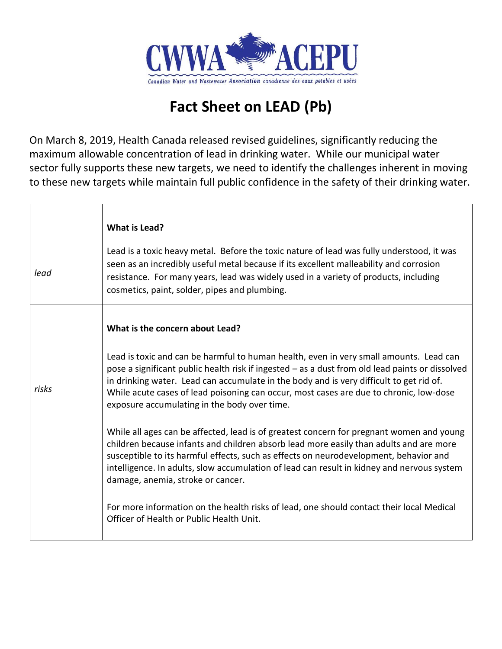

## **Fact Sheet on LEAD (Pb)**

On March 8, 2019, Health Canada released revised guidelines, significantly reducing the maximum allowable concentration of lead in drinking water. While our municipal water sector fully supports these new targets, we need to identify the challenges inherent in moving to these new targets while maintain full public confidence in the safety of their drinking water.

|       | What is Lead?                                                                                                                                                                                                                                                                                                                                                                                                                  |
|-------|--------------------------------------------------------------------------------------------------------------------------------------------------------------------------------------------------------------------------------------------------------------------------------------------------------------------------------------------------------------------------------------------------------------------------------|
| lead  | Lead is a toxic heavy metal. Before the toxic nature of lead was fully understood, it was<br>seen as an incredibly useful metal because if its excellent malleability and corrosion<br>resistance. For many years, lead was widely used in a variety of products, including<br>cosmetics, paint, solder, pipes and plumbing.                                                                                                   |
|       | What is the concern about Lead?                                                                                                                                                                                                                                                                                                                                                                                                |
| risks | Lead is toxic and can be harmful to human health, even in very small amounts. Lead can<br>pose a significant public health risk if ingested - as a dust from old lead paints or dissolved<br>in drinking water. Lead can accumulate in the body and is very difficult to get rid of.<br>While acute cases of lead poisoning can occur, most cases are due to chronic, low-dose<br>exposure accumulating in the body over time. |
|       | While all ages can be affected, lead is of greatest concern for pregnant women and young<br>children because infants and children absorb lead more easily than adults and are more<br>susceptible to its harmful effects, such as effects on neurodevelopment, behavior and<br>intelligence. In adults, slow accumulation of lead can result in kidney and nervous system<br>damage, anemia, stroke or cancer.                 |
|       | For more information on the health risks of lead, one should contact their local Medical<br>Officer of Health or Public Health Unit.                                                                                                                                                                                                                                                                                           |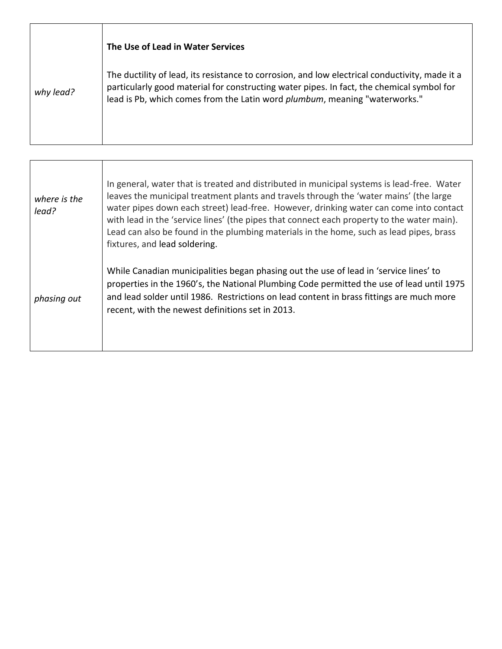|           | The Use of Lead in Water Services                                                                                                                                                                                                                                         |
|-----------|---------------------------------------------------------------------------------------------------------------------------------------------------------------------------------------------------------------------------------------------------------------------------|
| why lead? | The ductility of lead, its resistance to corrosion, and low electrical conductivity, made it a<br>particularly good material for constructing water pipes. In fact, the chemical symbol for<br>lead is Pb, which comes from the Latin word plumbum, meaning "waterworks." |
|           |                                                                                                                                                                                                                                                                           |

| where is the<br>lead? | In general, water that is treated and distributed in municipal systems is lead-free. Water<br>leaves the municipal treatment plants and travels through the 'water mains' (the large<br>water pipes down each street) lead-free. However, drinking water can come into contact<br>with lead in the 'service lines' (the pipes that connect each property to the water main).<br>Lead can also be found in the plumbing materials in the home, such as lead pipes, brass<br>fixtures, and lead soldering. |
|-----------------------|----------------------------------------------------------------------------------------------------------------------------------------------------------------------------------------------------------------------------------------------------------------------------------------------------------------------------------------------------------------------------------------------------------------------------------------------------------------------------------------------------------|
| phasing out           | While Canadian municipalities began phasing out the use of lead in 'service lines' to<br>properties in the 1960's, the National Plumbing Code permitted the use of lead until 1975<br>and lead solder until 1986. Restrictions on lead content in brass fittings are much more<br>recent, with the newest definitions set in 2013.                                                                                                                                                                       |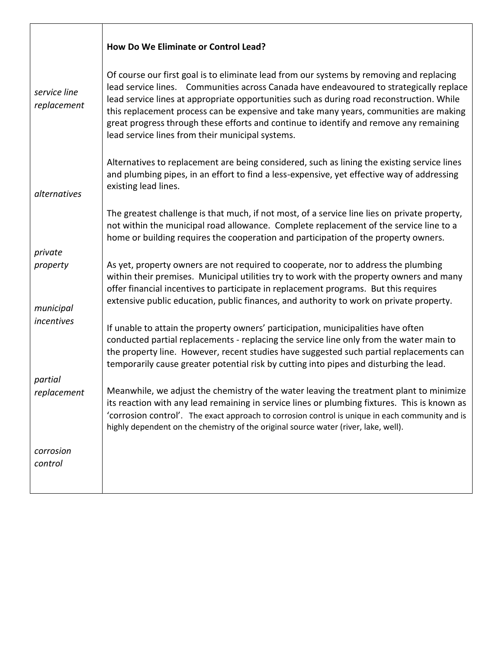|                             | How Do We Eliminate or Control Lead?                                                                                                                                                                                                                                                                                                                                                                                                                                                                                    |
|-----------------------------|-------------------------------------------------------------------------------------------------------------------------------------------------------------------------------------------------------------------------------------------------------------------------------------------------------------------------------------------------------------------------------------------------------------------------------------------------------------------------------------------------------------------------|
| service line<br>replacement | Of course our first goal is to eliminate lead from our systems by removing and replacing<br>lead service lines. Communities across Canada have endeavoured to strategically replace<br>lead service lines at appropriate opportunities such as during road reconstruction. While<br>this replacement process can be expensive and take many years, communities are making<br>great progress through these efforts and continue to identify and remove any remaining<br>lead service lines from their municipal systems. |
| alternatives                | Alternatives to replacement are being considered, such as lining the existing service lines<br>and plumbing pipes, in an effort to find a less-expensive, yet effective way of addressing<br>existing lead lines.                                                                                                                                                                                                                                                                                                       |
|                             | The greatest challenge is that much, if not most, of a service line lies on private property,<br>not within the municipal road allowance. Complete replacement of the service line to a<br>home or building requires the cooperation and participation of the property owners.                                                                                                                                                                                                                                          |
| private                     |                                                                                                                                                                                                                                                                                                                                                                                                                                                                                                                         |
| property<br>municipal       | As yet, property owners are not required to cooperate, nor to address the plumbing<br>within their premises. Municipal utilities try to work with the property owners and many<br>offer financial incentives to participate in replacement programs. But this requires<br>extensive public education, public finances, and authority to work on private property.                                                                                                                                                       |
| incentives                  | If unable to attain the property owners' participation, municipalities have often<br>conducted partial replacements - replacing the service line only from the water main to<br>the property line. However, recent studies have suggested such partial replacements can<br>temporarily cause greater potential risk by cutting into pipes and disturbing the lead.                                                                                                                                                      |
| partial                     |                                                                                                                                                                                                                                                                                                                                                                                                                                                                                                                         |
| replacement                 | Meanwhile, we adjust the chemistry of the water leaving the treatment plant to minimize<br>its reaction with any lead remaining in service lines or plumbing fixtures. This is known as<br>'corrosion control'. The exact approach to corrosion control is unique in each community and is<br>highly dependent on the chemistry of the original source water (river, lake, well).                                                                                                                                       |
| corrosion<br>control        |                                                                                                                                                                                                                                                                                                                                                                                                                                                                                                                         |
|                             |                                                                                                                                                                                                                                                                                                                                                                                                                                                                                                                         |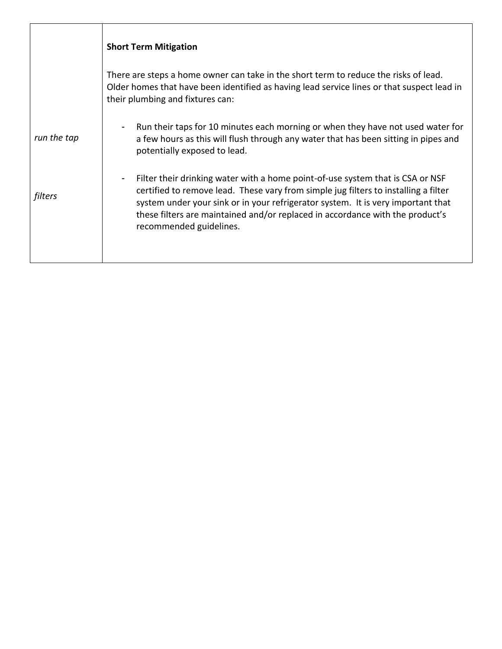|             | <b>Short Term Mitigation</b>                                                                                                                                                                                                                                                                                                                                                            |
|-------------|-----------------------------------------------------------------------------------------------------------------------------------------------------------------------------------------------------------------------------------------------------------------------------------------------------------------------------------------------------------------------------------------|
|             | There are steps a home owner can take in the short term to reduce the risks of lead.<br>Older homes that have been identified as having lead service lines or that suspect lead in<br>their plumbing and fixtures can:                                                                                                                                                                  |
| run the tap | Run their taps for 10 minutes each morning or when they have not used water for<br>$\overline{\phantom{a}}$<br>a few hours as this will flush through any water that has been sitting in pipes and<br>potentially exposed to lead.                                                                                                                                                      |
| filters     | Filter their drinking water with a home point-of-use system that is CSA or NSF<br>$\blacksquare$<br>certified to remove lead. These vary from simple jug filters to installing a filter<br>system under your sink or in your refrigerator system. It is very important that<br>these filters are maintained and/or replaced in accordance with the product's<br>recommended guidelines. |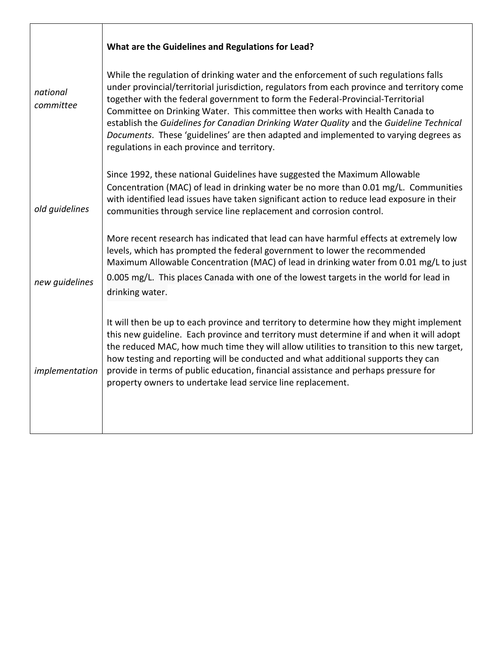|                       | What are the Guidelines and Regulations for Lead?                                                                                                                                                                                                                                                                                                                                                                                                                                                                                                                                         |
|-----------------------|-------------------------------------------------------------------------------------------------------------------------------------------------------------------------------------------------------------------------------------------------------------------------------------------------------------------------------------------------------------------------------------------------------------------------------------------------------------------------------------------------------------------------------------------------------------------------------------------|
| national<br>committee | While the regulation of drinking water and the enforcement of such regulations falls<br>under provincial/territorial jurisdiction, regulators from each province and territory come<br>together with the federal government to form the Federal-Provincial-Territorial<br>Committee on Drinking Water. This committee then works with Health Canada to<br>establish the Guidelines for Canadian Drinking Water Quality and the Guideline Technical<br>Documents. These 'guidelines' are then adapted and implemented to varying degrees as<br>regulations in each province and territory. |
| old quidelines        | Since 1992, these national Guidelines have suggested the Maximum Allowable<br>Concentration (MAC) of lead in drinking water be no more than 0.01 mg/L. Communities<br>with identified lead issues have taken significant action to reduce lead exposure in their<br>communities through service line replacement and corrosion control.                                                                                                                                                                                                                                                   |
|                       | More recent research has indicated that lead can have harmful effects at extremely low<br>levels, which has prompted the federal government to lower the recommended<br>Maximum Allowable Concentration (MAC) of lead in drinking water from 0.01 mg/L to just                                                                                                                                                                                                                                                                                                                            |
| new guidelines        | 0.005 mg/L. This places Canada with one of the lowest targets in the world for lead in<br>drinking water.                                                                                                                                                                                                                                                                                                                                                                                                                                                                                 |
| implementation        | It will then be up to each province and territory to determine how they might implement<br>this new guideline. Each province and territory must determine if and when it will adopt<br>the reduced MAC, how much time they will allow utilities to transition to this new target,<br>how testing and reporting will be conducted and what additional supports they can<br>provide in terms of public education, financial assistance and perhaps pressure for<br>property owners to undertake lead service line replacement.                                                              |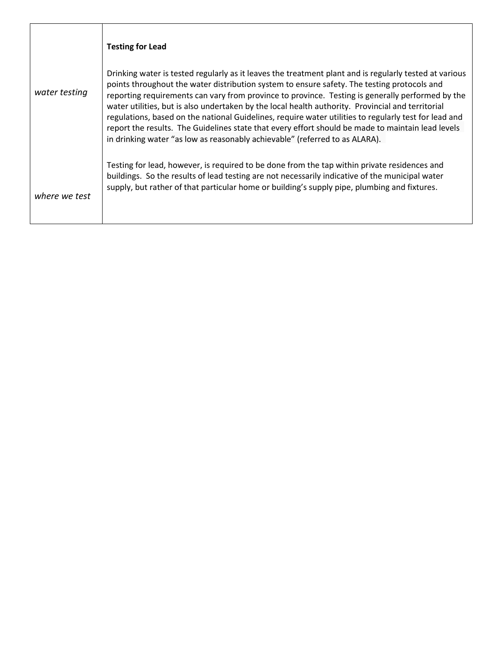|               | <b>Testing for Lead</b>                                                                                                                                                                                                                                                                                                                                                                                                                                                                                                                                                                                                                                                                                     |
|---------------|-------------------------------------------------------------------------------------------------------------------------------------------------------------------------------------------------------------------------------------------------------------------------------------------------------------------------------------------------------------------------------------------------------------------------------------------------------------------------------------------------------------------------------------------------------------------------------------------------------------------------------------------------------------------------------------------------------------|
| water testing | Drinking water is tested regularly as it leaves the treatment plant and is regularly tested at various<br>points throughout the water distribution system to ensure safety. The testing protocols and<br>reporting requirements can vary from province to province. Testing is generally performed by the<br>water utilities, but is also undertaken by the local health authority. Provincial and territorial<br>regulations, based on the national Guidelines, require water utilities to regularly test for lead and<br>report the results. The Guidelines state that every effort should be made to maintain lead levels<br>in drinking water "as low as reasonably achievable" (referred to as ALARA). |
| where we test | Testing for lead, however, is required to be done from the tap within private residences and<br>buildings. So the results of lead testing are not necessarily indicative of the municipal water<br>supply, but rather of that particular home or building's supply pipe, plumbing and fixtures.                                                                                                                                                                                                                                                                                                                                                                                                             |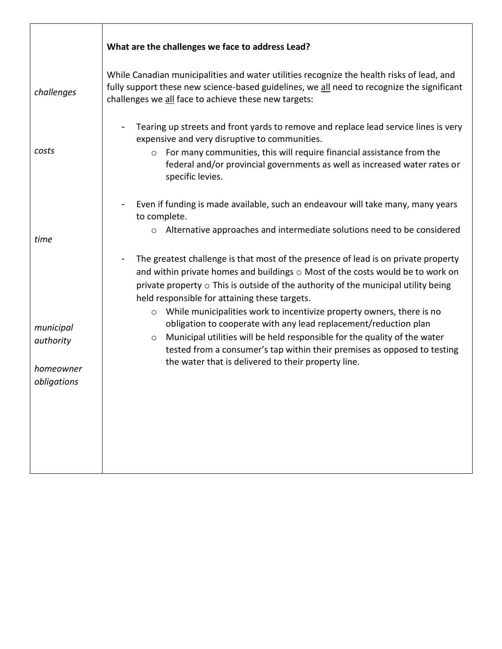|                                                    | What are the challenges we face to address Lead?                                                                                                                                                                                                                                                                                                                                |
|----------------------------------------------------|---------------------------------------------------------------------------------------------------------------------------------------------------------------------------------------------------------------------------------------------------------------------------------------------------------------------------------------------------------------------------------|
| challenges                                         | While Canadian municipalities and water utilities recognize the health risks of lead, and<br>fully support these new science-based guidelines, we all need to recognize the significant<br>challenges we all face to achieve these new targets:                                                                                                                                 |
| costs                                              | Tearing up streets and front yards to remove and replace lead service lines is very<br>expensive and very disruptive to communities.<br>For many communities, this will require financial assistance from the<br>$\circ$<br>federal and/or provincial governments as well as increased water rates or<br>specific levies.                                                       |
| time                                               | Even if funding is made available, such an endeavour will take many, many years<br>to complete.<br>o Alternative approaches and intermediate solutions need to be considered                                                                                                                                                                                                    |
|                                                    | The greatest challenge is that most of the presence of lead is on private property<br>and within private homes and buildings $\circ$ Most of the costs would be to work on<br>private property $\circ$ This is outside of the authority of the municipal utility being<br>held responsible for attaining these targets.                                                         |
| municipal<br>authority<br>homeowner<br>obligations | While municipalities work to incentivize property owners, there is no<br>$\circ$<br>obligation to cooperate with any lead replacement/reduction plan<br>Municipal utilities will be held responsible for the quality of the water<br>$\circ$<br>tested from a consumer's tap within their premises as opposed to testing<br>the water that is delivered to their property line. |
|                                                    |                                                                                                                                                                                                                                                                                                                                                                                 |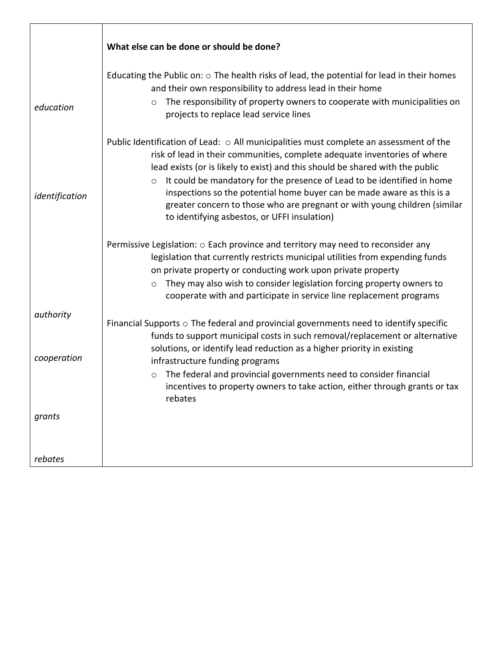|                          | What else can be done or should be done?                                                                                                                                                                                                                                                                                                                                                                                                                                                                                                          |
|--------------------------|---------------------------------------------------------------------------------------------------------------------------------------------------------------------------------------------------------------------------------------------------------------------------------------------------------------------------------------------------------------------------------------------------------------------------------------------------------------------------------------------------------------------------------------------------|
| education                | Educating the Public on: $\circ$ The health risks of lead, the potential for lead in their homes<br>and their own responsibility to address lead in their home<br>The responsibility of property owners to cooperate with municipalities on<br>$\circ$<br>projects to replace lead service lines                                                                                                                                                                                                                                                  |
| identification           | Public Identification of Lead: o All municipalities must complete an assessment of the<br>risk of lead in their communities, complete adequate inventories of where<br>lead exists (or is likely to exist) and this should be shared with the public<br>It could be mandatory for the presence of Lead to be identified in home<br>$\circ$<br>inspections so the potential home buyer can be made aware as this is a<br>greater concern to those who are pregnant or with young children (similar<br>to identifying asbestos, or UFFI insulation) |
|                          | Permissive Legislation: $\circ$ Each province and territory may need to reconsider any<br>legislation that currently restricts municipal utilities from expending funds<br>on private property or conducting work upon private property<br>They may also wish to consider legislation forcing property owners to<br>$\circ$<br>cooperate with and participate in service line replacement programs                                                                                                                                                |
| authority<br>cooperation | Financial Supports $\circ$ The federal and provincial governments need to identify specific<br>funds to support municipal costs in such removal/replacement or alternative<br>solutions, or identify lead reduction as a higher priority in existing<br>infrastructure funding programs                                                                                                                                                                                                                                                           |
|                          | The federal and provincial governments need to consider financial<br>$\circ$<br>incentives to property owners to take action, either through grants or tax<br>rebates                                                                                                                                                                                                                                                                                                                                                                             |
| grants                   |                                                                                                                                                                                                                                                                                                                                                                                                                                                                                                                                                   |
| rebates                  |                                                                                                                                                                                                                                                                                                                                                                                                                                                                                                                                                   |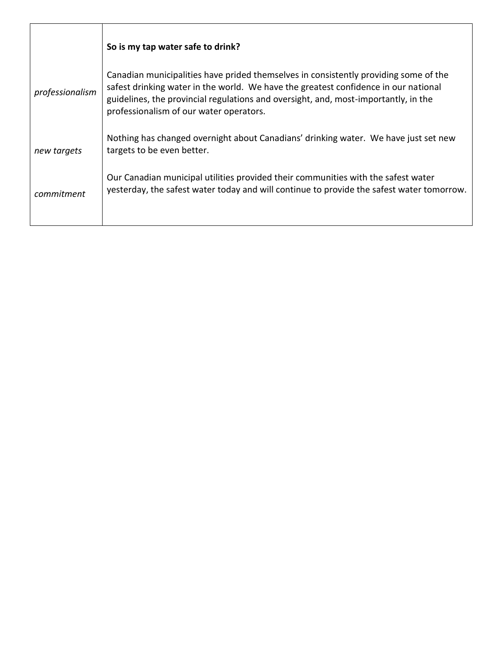|                 | So is my tap water safe to drink?                                                                                                                                                                                                                                                                             |
|-----------------|---------------------------------------------------------------------------------------------------------------------------------------------------------------------------------------------------------------------------------------------------------------------------------------------------------------|
| professionalism | Canadian municipalities have prided themselves in consistently providing some of the<br>safest drinking water in the world. We have the greatest confidence in our national<br>guidelines, the provincial regulations and oversight, and, most-importantly, in the<br>professionalism of our water operators. |
| new targets     | Nothing has changed overnight about Canadians' drinking water. We have just set new<br>targets to be even better.                                                                                                                                                                                             |
| commitment      | Our Canadian municipal utilities provided their communities with the safest water<br>yesterday, the safest water today and will continue to provide the safest water tomorrow.                                                                                                                                |